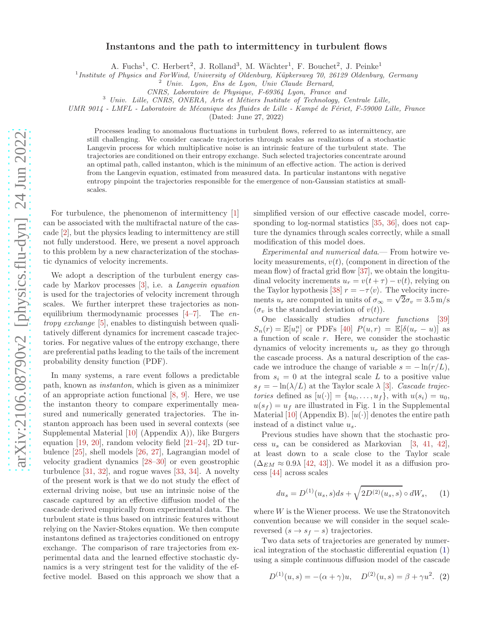## Instantons and the path to intermittency in turbulent flows

A. Fuchs<sup>1</sup>, C. Herbert<sup>2</sup>, J. Rolland<sup>3</sup>, M. Wächter<sup>1</sup>, F. Bouchet<sup>2</sup>, J. Peinke<sup>1</sup>

<sup>1</sup> Institute of Physics and ForWind, University of Oldenburg, Küpkersweg 70, 26129 Oldenburg, Germany

<sup>2</sup> Univ. Lyon, Ens de Lyon, Univ Claude Bernard,

CNRS, Laboratoire de Physique, F-69364 Lyon, France and

<sup>3</sup> Univ. Lille, CNRS, ONERA, Arts et Métiers Institute of Technology, Centrale Lille,

UMR 9014 - LMFL - Laboratoire de Mécanique des fluides de Lille - Kampé de Fériet, F-59000 Lille, France

(Dated: June 27, 2022)

Processes leading to anomalous fluctuations in turbulent flows, referred to as intermittency, are still challenging. We consider cascade trajectories through scales as realizations of a stochastic Langevin process for which multiplicative noise is an intrinsic feature of the turbulent state. The trajectories are conditioned on their entropy exchange. Such selected trajectories concentrate around an optimal path, called instanton, which is the minimum of an effective action. The action is derived from the Langevin equation, estimated from measured data. In particular instantons with negative entropy pinpoint the trajectories responsible for the emergence of non-Gaussian statistics at smallscales.

For turbulence, the phenomenon of intermittency [\[1](#page-3-0)] can be associated with the multifractal nature of the cascade [\[2\]](#page-3-1), but the physics leading to intermittency are still not fully understood. Here, we present a novel approach to this problem by a new characterization of the stochastic dynamics of velocity increments.

We adopt a description of the turbulent energy cascade by Markov processes [\[3\]](#page-3-2), i.e. a Langevin equation is used for the trajectories of velocity increment through scales. We further interpret these trajectories as nonequilibrium thermodynamic processes  $[4-7]$ . The entropy exchange [\[5\]](#page-3-5), enables to distinguish between qualitatively different dynamics for increment cascade trajectories. For negative values of the entropy exchange, there are preferential paths leading to the tails of the increment probability density function (PDF).

In many systems, a rare event follows a predictable path, known as instanton, which is given as a minimizer of an appropriate action functional [\[8,](#page-3-6) [9\]](#page-3-7). Here, we use the instanton theory to compare experimentally measured and numerically generated trajectories. The instanton approach has been used in several contexts (see Supplemental Material [\[10\]](#page-4-0) (Appendix A)), like Burgers equation [\[19,](#page-4-1) [20](#page-4-2)], random velocity field [\[21](#page-4-3)[–24\]](#page-4-4), 2D turbulence [\[25](#page-4-5)], shell models [\[26,](#page-4-6) [27\]](#page-4-7), Lagrangian model of velocity gradient dynamics [\[28](#page-4-8)[–30](#page-4-9)] or even geostrophic turbulence [\[31](#page-4-10), [32\]](#page-4-11), and rogue waves [\[33,](#page-4-12) [34](#page-4-13)]. A novelty of the present work is that we do not study the effect of external driving noise, but use an intrinsic noise of the cascade captured by an effective diffusion model of the cascade derived empirically from experimental data. The turbulent state is thus based on intrinsic features without relying on the Navier-Stokes equation. We then compute instantons defined as trajectories conditioned on entropy exchange. The comparison of rare trajectories from experimental data and the learned effective stochastic dynamics is a very stringent test for the validity of the effective model. Based on this approach we show that a

simplified version of our effective cascade model, corresponding to log-normal statistics [\[35](#page-4-14), [36\]](#page-4-15), does not capture the dynamics through scales correctly, while a small modification of this model does.

Experimental and numerical data.— From hotwire velocity measurements,  $v(t)$ , (component in direction of the mean flow) of fractal grid flow [\[37\]](#page-4-16), we obtain the longitudinal velocity increments  $u_r = v(t + \tau) - v(t)$ , relying on the Taylor hypothesis [\[38](#page-4-17)]  $r = -\tau \langle v \rangle$ . The velocity increments  $u_r$  are computed in units of  $\sigma_{\infty} = \sqrt{2}\sigma_v = 3.5 \text{ m/s}$  $(\sigma_v$  is the standard deviation of  $v(t)$ ).

One classically studies structure functions [\[39](#page-4-18)]  $S_n(r) = \mathbb{E}[u_r^n]$  or PDFs [\[40](#page-4-19)]  $P(u,r) = \mathbb{E}[\delta(u_r - u)]$  as a function of scale r. Here, we consider the stochastic dynamics of velocity increments  $u_r$  as they go through the cascade process. As a natural description of the cascade we introduce the change of variable  $s = -\ln(r/L)$ , from  $s_i = 0$  at the integral scale L to a positive value  $s_f = -\ln(\lambda/L)$  at the Taylor scale  $\lambda$  [\[3](#page-3-2)]. Cascade trajectories defined as  $[u(\cdot)] = \{u_0, \ldots, u_f\}$ , with  $u(s_i) = u_0$ ,  $u(s_f) = u_f$  are illustrated in Fig. 1 in the Supplemental Material [\[10](#page-4-0)] (Appendix B).  $[u(\cdot)]$  denotes the entire path instead of a distinct value  $u_s$ .

Previous studies have shown that the stochastic process  $u_s$  can be considered as Markovian [\[3](#page-3-2), [41,](#page-4-20) [42\]](#page-4-21), at least down to a scale close to the Taylor scale  $(\Delta_{EM} \approx 0.9\lambda$  [\[42](#page-4-21), [43](#page-4-22)]). We model it as a diffusion process [\[44\]](#page-4-23) across scales

<span id="page-0-0"></span>
$$
du_s = D^{(1)}(u_s, s)ds + \sqrt{2D^{(2)}(u_s, s)} \circ dW_s, \quad (1)
$$

where  $W$  is the Wiener process. We use the Stratonovitch convention because we will consider in the sequel scalereversed  $(s \rightarrow s_f - s)$  trajectories.

Two data sets of trajectories are generated by numerical integration of the stochastic differential equation [\(1\)](#page-0-0) using a simple continuous diffusion model of the cascade

<span id="page-0-1"></span>
$$
D^{(1)}(u,s) = -(\alpha + \gamma)u, \quad D^{(2)}(u,s) = \beta + \gamma u^2.
$$
 (2)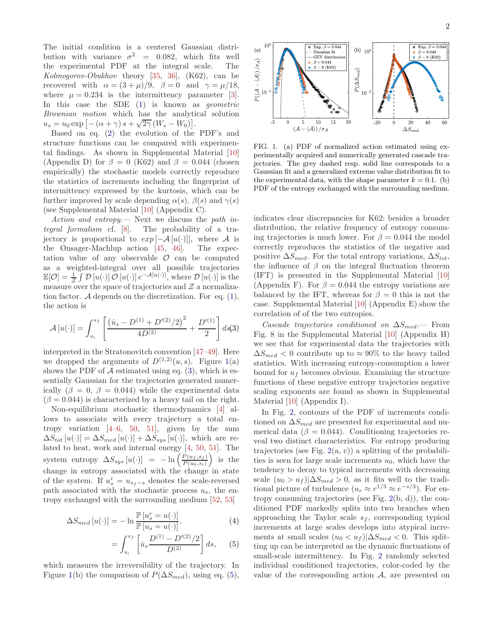The initial condition is a centered Gaussian distribution with variance  $\sigma^2$  = 0.082, which fits well the experimental PDF at the integral scale. The Kolmogorov-Obukhov theory [\[35](#page-4-14), [36](#page-4-15)], (K62), can be recovered with  $\alpha = (3 + \mu)/9$ ,  $\beta = 0$  and  $\gamma = \mu/18$ , where  $\mu = 0.234$  is the intermittency parameter [\[3\]](#page-3-2). In this case the SDE [\(1\)](#page-0-0) is known as geometric Brownian motion which has the analytical solution  $u_s = u_0 \exp \left[ - \left( \alpha + \gamma \right) s + \sqrt{2\gamma} \left( W_s - W_0 \right) \right].$ 

Based on eq. [\(2\)](#page-0-1) the evolution of the PDF's and structure functions can be compared with experimental findings. As shown in Supplemental Material [\[10](#page-4-0)] (Appendix D) for  $\beta = 0$  (K62) and  $\beta = 0.044$  (chosen empirically) the stochastic models correctly reproduce the statistics of increments including the fingerprint of intermittency expressed by the kurtosis, which can be further improved by scale depending  $\alpha(s)$ ,  $\beta(s)$  and  $\gamma(s)$ (see Supplemental Material [\[10](#page-4-0)] (Appendix C).

Action and entropy.— Next we discuss the path integral formalism cf. [\[8](#page-3-6)]. The probability of a trajectory is proportional to  $exp[-\mathcal{A}[u(\cdot)]]$ , where  $\mathcal A$  is the Onsager-Machlup action [45, 46]. The expecthe Onsager-Machlup action  $[45, 46]$  $[45, 46]$  $[45, 46]$ . tation value of any observable  $\mathcal O$  can be computed as a weighted-integral over all possible trajectories  $\mathbb{E}[\mathcal{O}] = \frac{1}{\mathcal{Z}} \int \mathcal{D}[u(\cdot)] \mathcal{O}[u(\cdot)] e^{-\mathcal{A}[u(\cdot)]},$  where  $\mathcal{D}[u(\cdot)]$  is the measure over the space of trajectories and  $\mathcal Z$  a normalization factor. A depends on the discretization. For eq.  $(1)$ , the action is

<span id="page-1-1"></span>
$$
\mathcal{A}[u(\cdot)] = \int_{s_i}^{s_f} \left[ \frac{\left( \dot{u}_s - D^{(1)} + D'^{(2)}/2 \right)^2}{4D^{(2)}} + \frac{D'^{(1)}}{2} \right] ds(3)
$$

interpreted in the Stratonovitch convention [\[47](#page-4-26)[–49](#page-4-27)]. Here we dropped the arguments of  $D^{(1,2)}(u, s)$ . Figure [1\(](#page-1-0)a) shows the PDF of  $A$  estimated using eq. [\(3\)](#page-1-1), which is essentially Gaussian for the trajectories generated numerically  $(\beta = 0, \beta = 0.044)$  while the experimental data  $(\beta = 0.044)$  is characterized by a heavy tail on the right.

Non-equilibrium stochastic thermodynamics [\[4](#page-3-3)] allows to associate with every trajectory a total entropy variation  $[4-6, 50, 51]$  $[4-6, 50, 51]$  $[4-6, 50, 51]$  $[4-6, 50, 51]$  $[4-6, 50, 51]$ , given by the sum  $\Delta S_{tot} [u(\cdot)] = \Delta S_{med} [u(\cdot)] + \Delta S_{sys} [u(\cdot)],$  which are related to heat, work and internal energy [\[4](#page-3-3), [50,](#page-4-28) [51](#page-4-29)]. The system entropy  $\Delta S_{sys}\left[u(\cdot)\right] = -\ln\left(\frac{P(u_f, s_f)}{P(u_0, s_i)}\right)$  $\frac{P(u_f,s_f)}{P(u_0,s_i)}$ is the change in entropy associated with the change in state of the system. If  $u_s^r = u_{s_f-s}$  denotes the scale-reversed path associated with the stochastic process  $u_s$ , the entropy exchanged with the surrounding medium [\[52,](#page-4-30) [53](#page-4-31)]

<span id="page-1-2"></span>
$$
\Delta S_{med}\left[u(\cdot)\right] = -\ln \frac{\mathbb{P}\left[u_s^r = u(\cdot)\right]}{\mathbb{P}\left[u_s = u(\cdot)\right]},\tag{4}
$$

$$
= \int_{s_i}^{s_f} \left[ \dot{u}_s \frac{D^{(1)} - D'^{(2)}/2}{D^{(2)}} \right] ds, \qquad (5)
$$

which measures the irreversibility of the trajectory. In Figure [1\(](#page-1-0)b) the comparison of  $P(\Delta S_{med})$ , using eq. [\(5\)](#page-1-2),



<span id="page-1-0"></span>FIG. 1. (a) PDF of normalized action estimated using experimentally acquired and numerically generated cascade trajectories. The grey dashed resp. solid line corresponds to a Gaussian fit and a generalized extreme value distribution fit to the experimental data, with the shape parameter  $k = 0.1$ . (b) PDF of the entropy exchanged with the surrounding medium.

indicates clear discrepancies for K62: besides a broader distribution, the relative frequency of entropy consuming trajectories is much lower. For  $\beta = 0.044$  the model correctly reproduces the statistics of the negative and positive  $\Delta S_{med}$ . For the total entropy variations,  $\Delta S_{tot}$ , the influence of  $\beta$  on the integral fluctuation theorem (IFT) is presented in the Supplemental Material [\[10](#page-4-0)] (Appendix F). For  $\beta = 0.044$  the entropy variations are balanced by the IFT, whereas for  $\beta = 0$  this is not the case. Supplemental Material [\[10\]](#page-4-0) (Appendix E) show the correlation of of the two entropies.

Cascade trajectories conditioned on  $\Delta S_{med}$ . From Fig. 8 in the Supplemental Material [\[10\]](#page-4-0) (Appendix H) we see that for experimental data the trajectories with  $\Delta S_{med}$  < 0 contribute up to ≈ 90% to the heavy tailed statistics. With increasing entropy-consumption a lower bound for  $u_f$  becomes obvious. Examining the structure functions of these negative entropy trajectories negative scaling exponents are found as shown in Supplemental Material [\[10\]](#page-4-0) (Appendix I).

In Fig. [2,](#page-2-0) contours of the PDF of increments conditioned on  $\Delta S_{med}$  are presented for experimental and numerical data ( $\beta = 0.044$ ). Conditioning trajectories reveal two distinct characteristics. For entropy producing trajectories (see Fig.  $2(a, c)$  $2(a, c)$ ) a splitting of the probabilities is seen for large scale increments  $u_0$ , which have the tendency to decay to typical increments with decreasing scale  $(u_0 > u_f)|\Delta S_{med} > 0$ , as it fits well to the traditional picture of turbulence  $(u_r \approx r^{1/3} \approx e^{-s/3})$ . For entropy consuming trajectories (see Fig. [2\(](#page-2-0)b, d)), the conditioned PDF markedly splits into two branches when approaching the Taylor scale  $s_f$ , corresponding typical increments at large scales develops into atypical increments at small scales  $(u_0 < u_f)|\Delta S_{med} < 0$ . This splitting up can be interpreted as the dynamic fluctuations of small-scale intermittency. In Fig. [2](#page-2-0) randomly selected individual conditioned trajectories, color-coded by the value of the corresponding action  $A$ , are presented on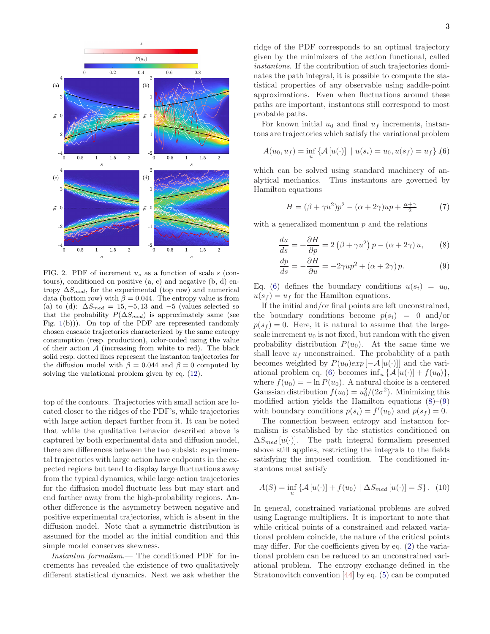

<span id="page-2-0"></span>FIG. 2. PDF of increment  $u_s$  as a function of scale s (contours), conditioned on positive (a, c) and negative (b, d) entropy  $\Delta S_{med}$ , for the experimental (top row) and numerical data (bottom row) with  $\beta = 0.044$ . The entropy value is from (a) to (d):  $\Delta S_{med} = 15, -5, 13$  and  $-5$  (values selected so that the probability  $P(\Delta S_{med})$  is approximately same (see Fig.  $1(b)$  $1(b)$ ). On top of the PDF are represented randomly chosen cascade trajectories characterized by the same entropy consumption (resp. production), color-coded using the value of their action  $A$  (increasing from white to red). The black solid resp. dotted lines represent the instanton trajectories for the diffusion model with  $\beta = 0.044$  and  $\beta = 0$  computed by solving the variational problem given by eq. [\(12\)](#page-3-9).

top of the contours. Trajectories with small action are located closer to the ridges of the PDF's, while trajectories with large action depart further from it. It can be noted that while the qualitative behavior described above is captured by both experimental data and diffusion model, there are differences between the two subsist: experimental trajectories with large action have endpoints in the expected regions but tend to display large fluctuations away from the typical dynamics, while large action trajectories for the diffusion model fluctuate less but may start and end farther away from the high-probability regions. Another difference is the asymmetry between negative and positive experimental trajectories, which is absent in the diffusion model. Note that a symmetric distribution is assumed for the model at the initial condition and this simple model conserves skewness.

Instanton formalism.— The conditioned PDF for increments has revealed the existence of two qualitatively different statistical dynamics. Next we ask whether the ridge of the PDF corresponds to an optimal trajectory given by the minimizers of the action functional, called instantons. If the contribution of such trajectories dominates the path integral, it is possible to compute the statistical properties of any observable using saddle-point approximations. Even when fluctuations around these paths are important, instantons still correspond to most probable paths.

For known initial  $u_0$  and final  $u_f$  increments, instantons are trajectories which satisfy the variational problem

<span id="page-2-1"></span>
$$
A(u_0, u_f) = \inf_u \{ A[u(\cdot)] \mid u(s_i) = u_0, u(s_f) = u_f \}, (6)
$$

which can be solved using standard machinery of analytical mechanics. Thus instantons are governed by Hamilton equations

$$
H = (\beta + \gamma u^2)p^2 - (\alpha + 2\gamma)up + \frac{\alpha + \gamma}{2}
$$
 (7)

with a generalized momentum  $p$  and the relations

<span id="page-2-2"></span>
$$
\frac{du}{ds} = +\frac{\partial H}{\partial p} = 2(\beta + \gamma u^2) p - (\alpha + 2\gamma) u, \qquad (8)
$$

$$
\frac{dp}{ds} = -\frac{\partial H}{\partial u} = -2\gamma up^2 + (\alpha + 2\gamma)p.
$$
 (9)

Eq. [\(6\)](#page-2-1) defines the boundary conditions  $u(s_i) = u_0$ ,  $u(s_f) = u_f$  for the Hamilton equations.

If the initial and/or final points are left unconstrained, the boundary conditions become  $p(s_i) = 0$  and/or  $p(s_f) = 0$ . Here, it is natural to assume that the largescale increment  $u_0$  is not fixed, but random with the given probability distribution  $P(u_0)$ . At the same time we shall leave  $u_f$  unconstrained. The probability of a path becomes weighted by  $P(u_0)exp[-A[u(\cdot)]]$  and the vari-ational problem eq. [\(6\)](#page-2-1) becomes  $\inf_u {\mathcal{A}[u(\cdot)] + f(u_0)},$ where  $f(u_0) = -\ln P(u_0)$ . A natural choice is a centered Gaussian distribution  $f(u_0) = u_0^2/(2\sigma^2)$ . Minimizing this modified action yields the Hamilton equations  $(8)$ – $(9)$ with boundary conditions  $p(s_i) = f'(u_0)$  and  $p(s_f) = 0$ .

The connection between entropy and instanton formalism is established by the statistics conditioned on  $\Delta S_{med}$ [u(·)]. The path integral formalism presented above still applies, restricting the integrals to the fields satisfying the imposed condition. The conditioned instantons must satisfy

$$
A(S) = \inf_{u} \left\{ A[u(\cdot)] + f(u_0) \mid \Delta S_{med}[u(\cdot)] = S \right\}. (10)
$$

In general, constrained variational problems are solved using Lagrange multipliers. It is important to note that while critical points of a constrained and relaxed variational problem coincide, the nature of the critical points may differ. For the coefficients given by eq. [\(2\)](#page-0-1) the variational problem can be reduced to an unconstrained variational problem. The entropy exchange defined in the Stratonovitch convention [\[44\]](#page-4-23) by eq. [\(5\)](#page-1-2) can be computed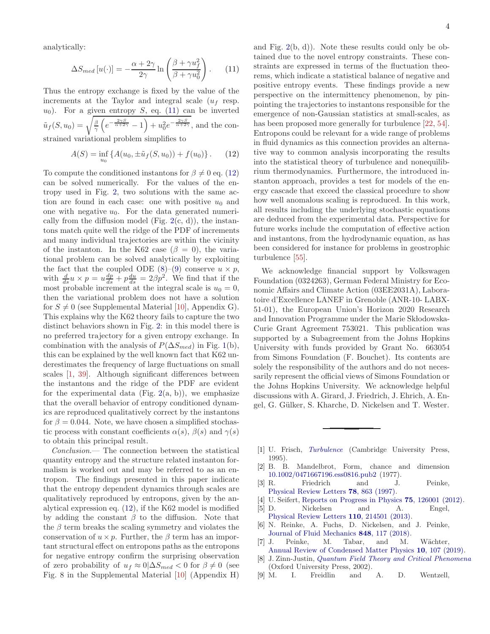analytically:

<span id="page-3-10"></span>
$$
\Delta S_{med}\left[u(\cdot)\right] = -\frac{\alpha + 2\gamma}{2\gamma} \ln\left(\frac{\beta + \gamma u_f^2}{\beta + \gamma u_0^2}\right). \tag{11}
$$

Thus the entropy exchange is fixed by the value of the increments at the Taylor and integral scale  $(u_f$  resp.  $u_0$ ). For a given entropy S, eq. [\(11\)](#page-3-10) can be inverted  $\tilde{u}_f(S, u_0) = \sqrt{\frac{\beta}{\gamma} \left( e^{-\frac{2\gamma S}{\alpha + 2\gamma}} - 1 \right) + u_0^2 e^{-\frac{2\gamma S}{\alpha + 2\gamma}}},$  and the constrained variational problem simplifies to

<span id="page-3-9"></span>
$$
A(S) = \inf_{u_0} \left\{ A(u_0, \pm \tilde{u}_f(S, u_0)) + f(u_0) \right\}.
$$
 (12)

To compute the conditioned instantons for  $\beta \neq 0$  eq. [\(12\)](#page-3-9) can be solved numerically. For the values of the entropy used in Fig. [2,](#page-2-0) two solutions with the same action are found in each case: one with positive  $u_0$  and one with negative  $u_0$ . For the data generated numerically from the diffusion model (Fig.  $2(c, d)$  $2(c, d)$ ), the instantons match quite well the ridge of the PDF of increments and many individual trajectories are within the vicinity of the instanton. In the K62 case ( $\beta = 0$ ), the variational problem can be solved analytically by exploiting the fact that the coupled ODE  $(8)-(9)$  $(8)-(9)$  conserve  $u \times p$ , with  $\frac{d}{ds}u \times p = u\frac{dp}{ds} + p\frac{du}{ds} = 2\beta p^2$ . We find that if the most probable increment at the integral scale is  $u_0 = 0$ , then the variational problem does not have a solution for  $S \neq 0$  (see Supplemental Material [\[10\]](#page-4-0), Appendix G). This explains why the K62 theory fails to capture the two distinct behaviors shown in Fig. [2:](#page-2-0) in this model there is no preferred trajectory for a given entropy exchange. In combination with the analysis of  $P(\Delta S_{med})$  in Fig. [1\(](#page-1-0)b), this can be explained by the well known fact that K62 underestimates the frequency of large fluctuations on small scales [\[1,](#page-3-0) [39\]](#page-4-18). Although significant differences between the instantons and the ridge of the PDF are evident for the experimental data (Fig. [2\(](#page-2-0)a, b)), we emphasize that the overall behavior of entropy conditioned dynamics are reproduced qualitatively correct by the instantons for  $\beta = 0.044$ . Note, we have chosen a simplified stochastic process with constant coefficients  $\alpha(s)$ ,  $\beta(s)$  and  $\gamma(s)$ to obtain this principal result.

Conclusion.— The connection between the statistical quantity entropy and the structure related instanton formalism is worked out and may be referred to as an entropon. The findings presented in this paper indicate that the entropy dependent dynamics through scales are qualitatively reproduced by entropons, given by the analytical expression eq. [\(12\)](#page-3-9), if the K62 model is modified by adding the constant  $\beta$  to the diffusion. Note that the  $\beta$  term breaks the scaling symmetry and violates the conservation of  $u \times p$ . Further, the  $\beta$  term has an important structural effect on entropons paths as the entropons for negative entropy confirm the surprising observation of zero probability of  $u_f \approx 0|\Delta S_{med} < 0$  for  $\beta \neq 0$  (see Fig. 8 in the Supplemental Material [\[10\]](#page-4-0) (Appendix H)

and Fig.  $2(b, d)$  $2(b, d)$ ). Note these results could only be obtained due to the novel entropy constraints. These constraints are expressed in terms of the fluctuation theorems, which indicate a statistical balance of negative and positive entropy events. These findings provide a new perspective on the intermittency phenomenon, by pinpointing the trajectories to instantons responsible for the emergence of non-Gaussian statistics at small-scales, as has been proposed more generally for turbulence [\[22](#page-4-32), [54\]](#page-4-33). Entropons could be relevant for a wide range of problems in fluid dynamics as this connection provides an alternative way to common analysis incorporating the results into the statistical theory of turbulence and nonequilibrium thermodynamics. Furthermore, the introduced instanton approach, provides a test for models of the energy cascade that exceed the classical procedure to show how well anomalous scaling is reproduced. In this work, all results including the underlying stochastic equations are deduced from the experimental data. Perspective for future works include the computation of effective action and instantons, from the hydrodynamic equation, as has been considered for instance for problems in geostrophic turbulence [\[55](#page-4-34)].

We acknowledge financial support by Volkswagen Foundation (0324263), German Federal Ministry for Economic Affairs and Climate Action (03EE2031A), Laboratoire d'Excellence LANEF in Grenoble (ANR-10- LABX-51-01), the European Union's Horizon 2020 Research and Innovation Programme under the Marie Skłodowska-Curie Grant Agreement 753021. This publication was supported by a Subagreement from the Johns Hopkins University with funds provided by Grant No. 663054 from Simons Foundation (F. Bouchet). Its contents are solely the responsibility of the authors and do not necessarily represent the official views of Simons Foundation or the Johns Hopkins University. We acknowledge helpful discussions with A. Girard, J. Friedrich, J. Ehrich, A. Engel, G. Gülker, S. Kharche, D. Nickelsen and T. Wester.

- <span id="page-3-0"></span>[1] U. Frisch, [Turbulence](https://doi.org/10.1017/cbo9781139170666) (Cambridge University Press, 1995).
- <span id="page-3-1"></span>[2] B. B. Mandelbrot, Form, chance and dimension [10.1002/0471667196.ess0816.pub2](https://doi.org/10.1002/0471667196.ess0816.pub2) (1977).
- <span id="page-3-2"></span>[3] R. Friedrich and J. Peinke, [Physical Review Letters](https://doi.org/10.1103/physrevlett.78.863) 78, 863 (1997).
- <span id="page-3-3"></span>[4] U. Seifert, [Reports on Progress in Physics](https://doi.org/10.1088/0034-4885/75/12/126001) 75, 126001 (2012).
- <span id="page-3-5"></span>[5] D. Nickelsen and A. Engel, [Physical Review Letters](https://doi.org/10.1103/physrevlett.110.214501) 110, 214501 (2013).
- <span id="page-3-8"></span>[6] N. Reinke, A. Fuchs, D. Nickelsen, and J. Peinke, [Journal of Fluid Mechanics](https://doi.org/10.1017/jfm.2018.360) 848, 117 (2018).
- <span id="page-3-4"></span>[7] J. Peinke, M. Tabar, and M. Wächter, [Annual Review of Condensed Matter Physics](https://doi.org/10.1146/annurev-conmatphys-033117-054252) 10, 107 (2019).
- <span id="page-3-6"></span>[8] J. Zinn-Justin, [Quantum Field Theory and Critical Phenomena](https://doi.org/10.1093/acprof:oso/9780198509233.001.0001) (Oxford University Press, 2002).
- <span id="page-3-7"></span>[9] M. I. Freidlin and A. D. Wentzell,